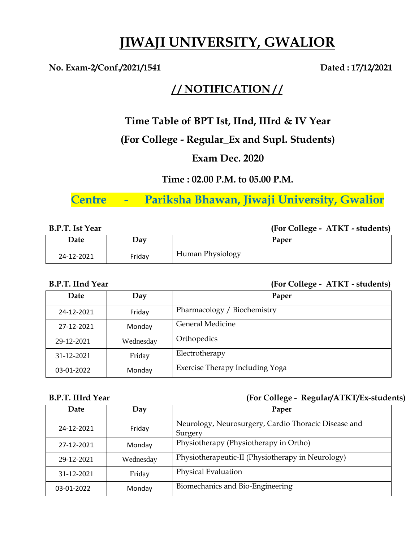# **JIWAJI UNIVERSITY, GWALIOR**

### No. Exam-2/Conf./2021/1541 Dated : 17/12/2021

## **/ / NOTIFICATION / /**

### **Time Table of BPT Ist, IInd, IIIrd & IV Year**

### **(For College - Regular\_Ex and Supl. Students)**

### **Exam Dec. 2020**

### **Time : 02.00 P.M. to 05.00 P.M.**

# **Centre - Pariksha Bhawan, Jiwaji University, Gwalior**

**B.P.T. Ist Year (For College - ATKT - students)**

| Date       | Day    | Paper            |
|------------|--------|------------------|
| 24-12-2021 | Friday | Human Physiology |

### **B.P.T. IInd Year (For College - ATKT - students)**

| Date       | Day       | Paper                           |
|------------|-----------|---------------------------------|
| 24-12-2021 | Friday    | Pharmacology / Biochemistry     |
| 27-12-2021 | Monday    | General Medicine                |
| 29-12-2021 | Wednesday | Orthopedics                     |
| 31-12-2021 | Friday    | Electrotherapy                  |
| 03-01-2022 | Monday    | Exercise Therapy Including Yoga |

### **B.P.T. IIIrd Year (For College - Regular/ATKT/Ex-students)**

| Date       | Day       | Paper                                                           |
|------------|-----------|-----------------------------------------------------------------|
| 24-12-2021 | Friday    | Neurology, Neurosurgery, Cardio Thoracic Disease and<br>Surgery |
| 27-12-2021 | Monday    | Physiotherapy (Physiotherapy in Ortho)                          |
| 29-12-2021 | Wednesday | Physiotherapeutic-II (Physiotherapy in Neurology)               |
| 31-12-2021 | Friday    | Physical Evaluation                                             |
| 03-01-2022 | Monday    | Biomechanics and Bio-Engineering                                |